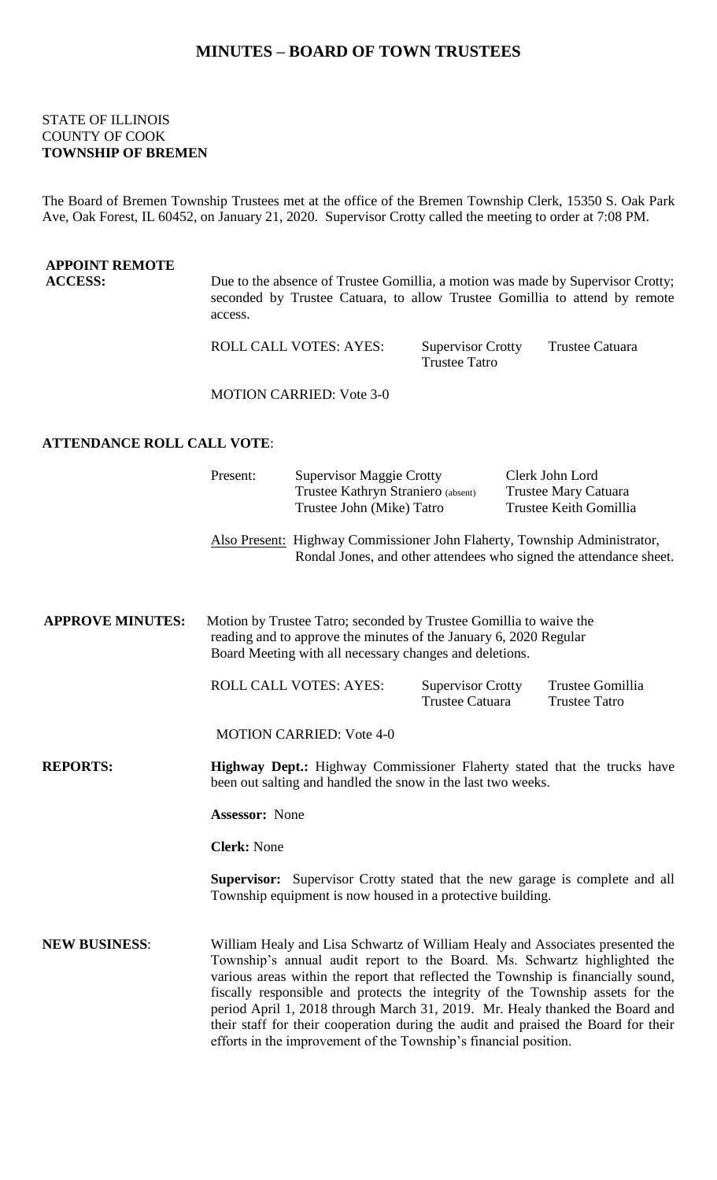### **MINUTES – BOARD OF TOWN TRUSTEES**

#### STATE OF ILLINOIS COUNTY OF COOK **TOWNSHIP OF BREMEN**

The Board of Bremen Township Trustees met at the office of the Bremen Township Clerk, 15350 S. Oak Park Ave, Oak Forest, IL 60452, on January 21, 2020. Supervisor Crotty called the meeting to order at 7:08 PM.

# **APPOINT REMOTE** Due to the absence of Trustee Gomillia, a motion was made by Supervisor Crotty; seconded by Trustee Catuara, to allow Trustee Gomillia to attend by remote access.

ROLL CALL VOTES: AYES: Supervisor Crotty Trustee Catuara Trustee Tatro

MOTION CARRIED: Vote 3-0

## **ATTENDANCE ROLL CALL VOTE**:

|                         | Present:                                                                                                                                                                                           | <b>Supervisor Maggie Crotty</b><br>Trustee Kathryn Straniero (absent)<br>Trustee John (Mike) Tatro                                                                                                                                                                                                                                                                                                                                                                                                                                                                          |                                                    |  | Clerk John Lord<br>Trustee Mary Catuara<br>Trustee Keith Gomillia |  |
|-------------------------|----------------------------------------------------------------------------------------------------------------------------------------------------------------------------------------------------|-----------------------------------------------------------------------------------------------------------------------------------------------------------------------------------------------------------------------------------------------------------------------------------------------------------------------------------------------------------------------------------------------------------------------------------------------------------------------------------------------------------------------------------------------------------------------------|----------------------------------------------------|--|-------------------------------------------------------------------|--|
|                         |                                                                                                                                                                                                    | Also Present: Highway Commissioner John Flaherty, Township Administrator,<br>Rondal Jones, and other attendees who signed the attendance sheet.                                                                                                                                                                                                                                                                                                                                                                                                                             |                                                    |  |                                                                   |  |
| <b>APPROVE MINUTES:</b> | Motion by Trustee Tatro; seconded by Trustee Gomillia to waive the<br>reading and to approve the minutes of the January 6, 2020 Regular<br>Board Meeting with all necessary changes and deletions. |                                                                                                                                                                                                                                                                                                                                                                                                                                                                                                                                                                             |                                                    |  |                                                                   |  |
|                         |                                                                                                                                                                                                    | ROLL CALL VOTES: AYES:                                                                                                                                                                                                                                                                                                                                                                                                                                                                                                                                                      | <b>Supervisor Crotty</b><br><b>Trustee Catuara</b> |  | Trustee Gomillia<br><b>Trustee Tatro</b>                          |  |
|                         |                                                                                                                                                                                                    | <b>MOTION CARRIED: Vote 4-0</b>                                                                                                                                                                                                                                                                                                                                                                                                                                                                                                                                             |                                                    |  |                                                                   |  |
| <b>REPORTS:</b>         | <b>Highway Dept.:</b> Highway Commissioner Flaherty stated that the trucks have<br>been out salting and handled the snow in the last two weeks.                                                    |                                                                                                                                                                                                                                                                                                                                                                                                                                                                                                                                                                             |                                                    |  |                                                                   |  |
|                         | <b>Assessor: None</b>                                                                                                                                                                              |                                                                                                                                                                                                                                                                                                                                                                                                                                                                                                                                                                             |                                                    |  |                                                                   |  |
|                         | <b>Clerk: None</b>                                                                                                                                                                                 |                                                                                                                                                                                                                                                                                                                                                                                                                                                                                                                                                                             |                                                    |  |                                                                   |  |
|                         | <b>Supervisor:</b> Supervisor Crotty stated that the new garage is complete and all<br>Township equipment is now housed in a protective building.                                                  |                                                                                                                                                                                                                                                                                                                                                                                                                                                                                                                                                                             |                                                    |  |                                                                   |  |
| <b>NEW BUSINESS:</b>    |                                                                                                                                                                                                    | William Healy and Lisa Schwartz of William Healy and Associates presented the<br>Township's annual audit report to the Board. Ms. Schwartz highlighted the<br>various areas within the report that reflected the Township is financially sound,<br>fiscally responsible and protects the integrity of the Township assets for the<br>period April 1, 2018 through March 31, 2019. Mr. Healy thanked the Board and<br>their staff for their cooperation during the audit and praised the Board for their<br>efforts in the improvement of the Township's financial position. |                                                    |  |                                                                   |  |